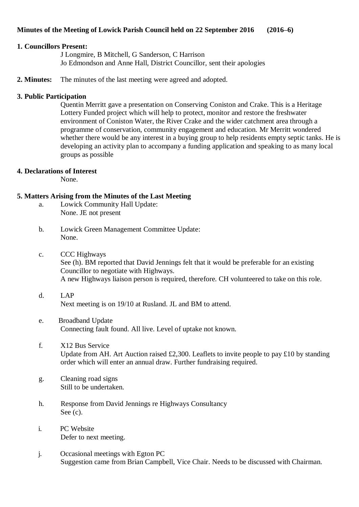# **Minutes of the Meeting of Lowick Parish Council held on 22 September 2016 (2016–6)**

## **1. Councillors Present:**

J Longmire, B Mitchell, G Sanderson, C Harrison Jo Edmondson and Anne Hall, District Councillor, sent their apologies

**2. Minutes:** The minutes of the last meeting were agreed and adopted.

## **3. Public Participation**

Quentin Merritt gave a presentation on Conserving Coniston and Crake. This is a Heritage Lottery Funded project which will help to protect, monitor and restore the freshwater environment of Coniston Water, the River Crake and the wider catchment area through a programme of conservation, community engagement and education. Mr Merritt wondered whether there would be any interest in a buying group to help residents empty septic tanks. He is developing an activity plan to accompany a funding application and speaking to as many local groups as possible

# **4. Declarations of Interest**

None.

# **5. Matters Arising from the Minutes of the Last Meeting**

- a. Lowick Community Hall Update: None. JE not present
- b. Lowick Green Management Committee Update: None.
- c. CCC Highways See (h). BM reported that David Jennings felt that it would be preferable for an existing Councillor to negotiate with Highways. A new Highways liaison person is required, therefore. CH volunteered to take on this role.
- d. LAP Next meeting is on 19/10 at Rusland. JL and BM to attend.
- e. Broadband Update Connecting fault found. All live. Level of uptake not known.
- f. X12 Bus Service Update from AH. Art Auction raised £2,300. Leaflets to invite people to pay £10 by standing order which will enter an annual draw. Further fundraising required.
- g. Cleaning road signs Still to be undertaken.
- h. Response from David Jennings re Highways Consultancy See (c).
- i. PC Website Defer to next meeting.
- j. Occasional meetings with Egton PC Suggestion came from Brian Campbell, Vice Chair. Needs to be discussed with Chairman.